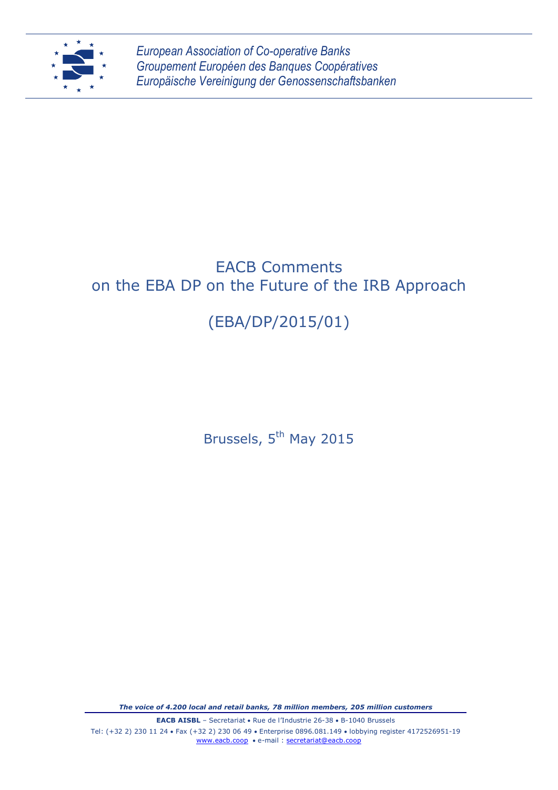

*European Association of Co-operative Banks Groupement Européen des Banques Coopératives Europäische Vereinigung der Genossenschaftsbanken*

## EACB Comments on the EBA DP on the Future of the IRB Approach

# (EBA/DP/2015/01)

Brussels, 5<sup>th</sup> May 2015

*The voice of 4.200 local and retail banks, 78 million members, 205 million customers*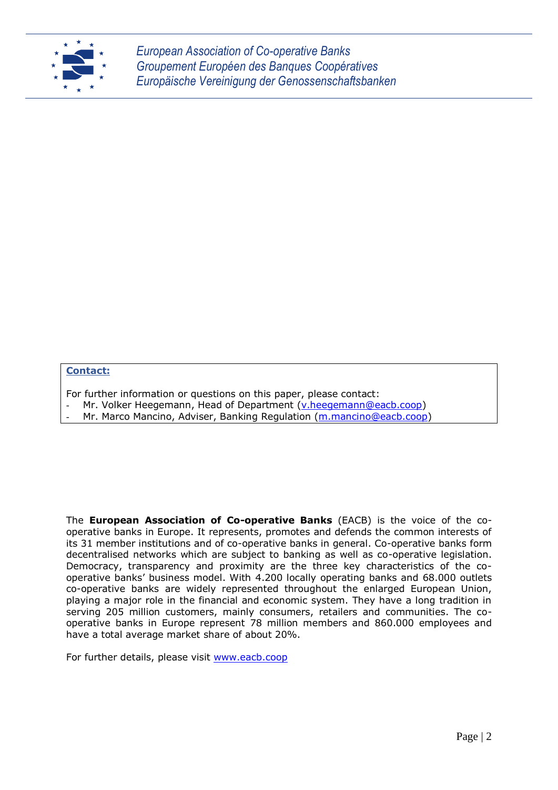

*European Association of Co-operative Banks Groupement Européen des Banques Coopératives Europäische Vereinigung der Genossenschaftsbanken*

#### **Contact:**

- For further information or questions on this paper, please contact:
- Mr. Volker Heegemann, Head of Department [\(v.heegemann@eacb.coop\)](mailto:v.heegemann@eacb.coop)
- Mr. Marco Mancino, Adviser, Banking Regulation [\(m.mancino@eacb.coop\)](mailto:m.mancino@eacb.coop)

The **European Association of Co-operative Banks** (EACB) is the voice of the cooperative banks in Europe. It represents, promotes and defends the common interests of its 31 member institutions and of co-operative banks in general. Co-operative banks form decentralised networks which are subject to banking as well as co-operative legislation. Democracy, transparency and proximity are the three key characteristics of the cooperative banks' business model. With 4.200 locally operating banks and 68.000 outlets co-operative banks are widely represented throughout the enlarged European Union, playing a major role in the financial and economic system. They have a long tradition in serving 205 million customers, mainly consumers, retailers and communities. The cooperative banks in Europe represent 78 million members and 860.000 employees and have a total average market share of about 20%.

For further details, please visit [www.eacb.coop](http://www.eacb.coop/)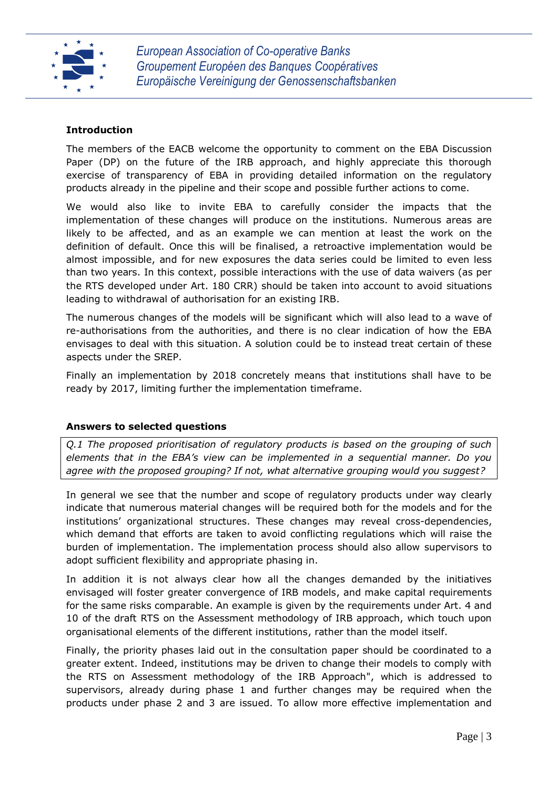

### **Introduction**

The members of the EACB welcome the opportunity to comment on the EBA Discussion Paper (DP) on the future of the IRB approach, and highly appreciate this thorough exercise of transparency of EBA in providing detailed information on the regulatory products already in the pipeline and their scope and possible further actions to come.

We would also like to invite EBA to carefully consider the impacts that the implementation of these changes will produce on the institutions. Numerous areas are likely to be affected, and as an example we can mention at least the work on the definition of default. Once this will be finalised, a retroactive implementation would be almost impossible, and for new exposures the data series could be limited to even less than two years. In this context, possible interactions with the use of data waivers (as per the RTS developed under Art. 180 CRR) should be taken into account to avoid situations leading to withdrawal of authorisation for an existing IRB.

The numerous changes of the models will be significant which will also lead to a wave of re-authorisations from the authorities, and there is no clear indication of how the EBA envisages to deal with this situation. A solution could be to instead treat certain of these aspects under the SREP.

Finally an implementation by 2018 concretely means that institutions shall have to be ready by 2017, limiting further the implementation timeframe.

#### **Answers to selected questions**

*Q.1 The proposed prioritisation of regulatory products is based on the grouping of such elements that in the EBA's view can be implemented in a sequential manner. Do you agree with the proposed grouping? If not, what alternative grouping would you suggest?*

In general we see that the number and scope of regulatory products under way clearly indicate that numerous material changes will be required both for the models and for the institutions' organizational structures. These changes may reveal cross-dependencies, which demand that efforts are taken to avoid conflicting regulations which will raise the burden of implementation. The implementation process should also allow supervisors to adopt sufficient flexibility and appropriate phasing in.

In addition it is not always clear how all the changes demanded by the initiatives envisaged will foster greater convergence of IRB models, and make capital requirements for the same risks comparable. An example is given by the requirements under Art. 4 and 10 of the draft RTS on the Assessment methodology of IRB approach, which touch upon organisational elements of the different institutions, rather than the model itself.

Finally, the priority phases laid out in the consultation paper should be coordinated to a greater extent. Indeed, institutions may be driven to change their models to comply with the RTS on Assessment methodology of the IRB Approach", which is addressed to supervisors, already during phase 1 and further changes may be required when the products under phase 2 and 3 are issued. To allow more effective implementation and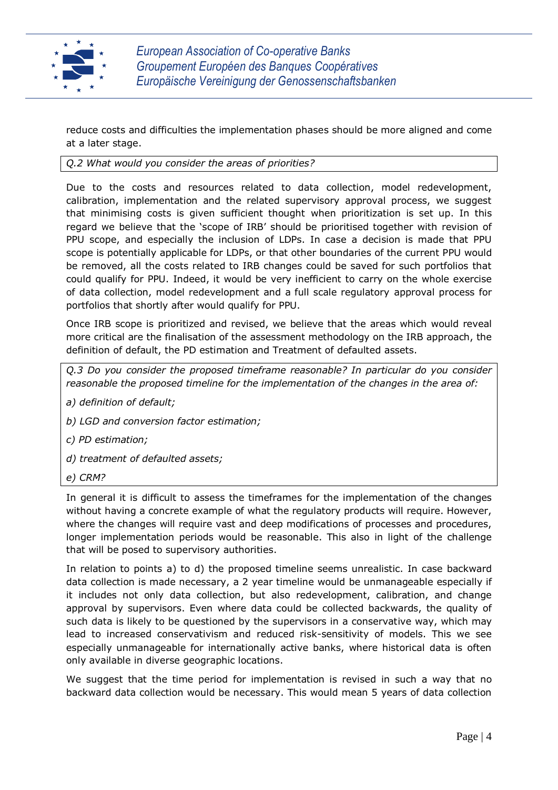

reduce costs and difficulties the implementation phases should be more aligned and come at a later stage.

*Q.2 What would you consider the areas of priorities?*

Due to the costs and resources related to data collection, model redevelopment, calibration, implementation and the related supervisory approval process, we suggest that minimising costs is given sufficient thought when prioritization is set up. In this regard we believe that the 'scope of IRB' should be prioritised together with revision of PPU scope, and especially the inclusion of LDPs. In case a decision is made that PPU scope is potentially applicable for LDPs, or that other boundaries of the current PPU would be removed, all the costs related to IRB changes could be saved for such portfolios that could qualify for PPU. Indeed, it would be very inefficient to carry on the whole exercise of data collection, model redevelopment and a full scale regulatory approval process for portfolios that shortly after would qualify for PPU.

Once IRB scope is prioritized and revised, we believe that the areas which would reveal more critical are the finalisation of the assessment methodology on the IRB approach, the definition of default, the PD estimation and Treatment of defaulted assets.

*Q.3 Do you consider the proposed timeframe reasonable? In particular do you consider reasonable the proposed timeline for the implementation of the changes in the area of:*

- *a) definition of default;*
- *b) LGD and conversion factor estimation;*
- *c) PD estimation;*
- *d) treatment of defaulted assets;*
- *e) CRM?*

In general it is difficult to assess the timeframes for the implementation of the changes without having a concrete example of what the regulatory products will require. However, where the changes will require vast and deep modifications of processes and procedures, longer implementation periods would be reasonable. This also in light of the challenge that will be posed to supervisory authorities.

In relation to points a) to d) the proposed timeline seems unrealistic. In case backward data collection is made necessary, a 2 year timeline would be unmanageable especially if it includes not only data collection, but also redevelopment, calibration, and change approval by supervisors. Even where data could be collected backwards, the quality of such data is likely to be questioned by the supervisors in a conservative way, which may lead to increased conservativism and reduced risk-sensitivity of models. This we see especially unmanageable for internationally active banks, where historical data is often only available in diverse geographic locations.

We suggest that the time period for implementation is revised in such a way that no backward data collection would be necessary. This would mean 5 years of data collection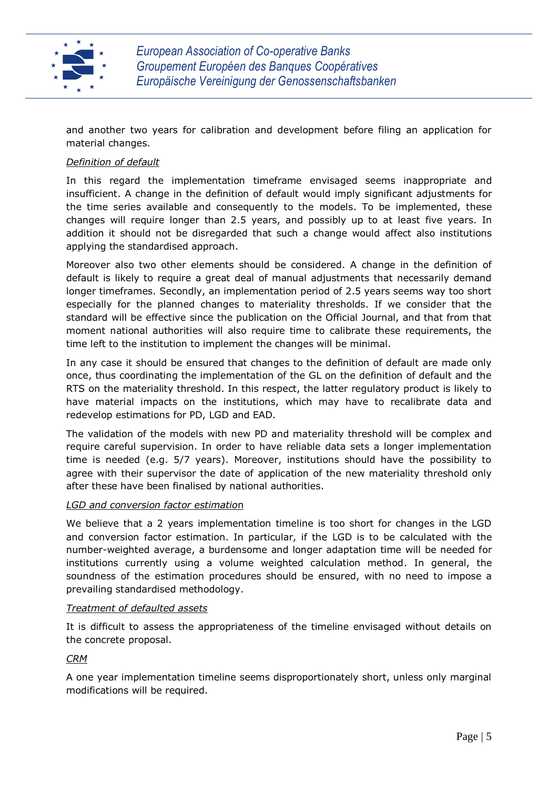

and another two years for calibration and development before filing an application for material changes.

### *Definition of default*

In this regard the implementation timeframe envisaged seems inappropriate and insufficient. A change in the definition of default would imply significant adjustments for the time series available and consequently to the models. To be implemented, these changes will require longer than 2.5 years, and possibly up to at least five years. In addition it should not be disregarded that such a change would affect also institutions applying the standardised approach.

Moreover also two other elements should be considered. A change in the definition of default is likely to require a great deal of manual adjustments that necessarily demand longer timeframes. Secondly, an implementation period of 2.5 years seems way too short especially for the planned changes to materiality thresholds. If we consider that the standard will be effective since the publication on the Official Journal, and that from that moment national authorities will also require time to calibrate these requirements, the time left to the institution to implement the changes will be minimal.

In any case it should be ensured that changes to the definition of default are made only once, thus coordinating the implementation of the GL on the definition of default and the RTS on the materiality threshold. In this respect, the latter regulatory product is likely to have material impacts on the institutions, which may have to recalibrate data and redevelop estimations for PD, LGD and EAD.

The validation of the models with new PD and materiality threshold will be complex and require careful supervision. In order to have reliable data sets a longer implementation time is needed (e.g. 5/7 years). Moreover, institutions should have the possibility to agree with their supervisor the date of application of the new materiality threshold only after these have been finalised by national authorities.

#### *LGD and conversion factor estimatio*n

We believe that a 2 years implementation timeline is too short for changes in the LGD and conversion factor estimation. In particular, if the LGD is to be calculated with the number-weighted average, a burdensome and longer adaptation time will be needed for institutions currently using a volume weighted calculation method. In general, the soundness of the estimation procedures should be ensured, with no need to impose a prevailing standardised methodology.

#### *Treatment of defaulted assets*

It is difficult to assess the appropriateness of the timeline envisaged without details on the concrete proposal.

#### *CRM*

A one year implementation timeline seems disproportionately short, unless only marginal modifications will be required.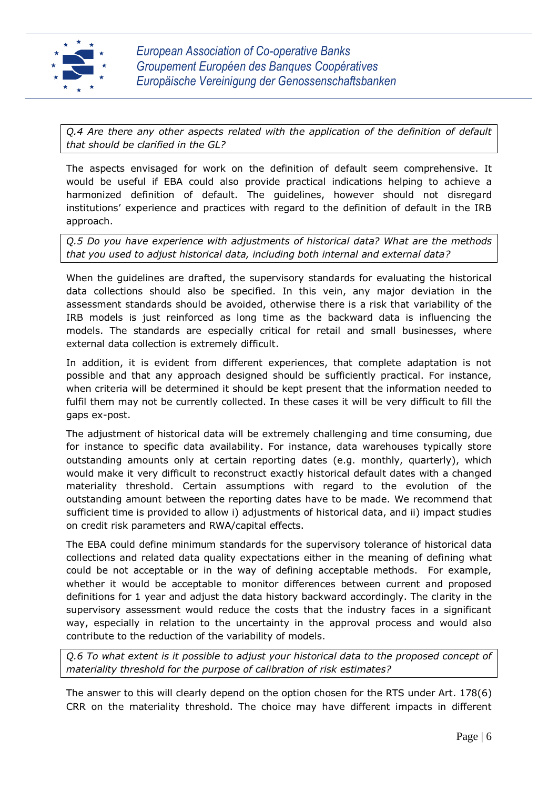

*Q.4 Are there any other aspects related with the application of the definition of default that should be clarified in the GL?*

The aspects envisaged for work on the definition of default seem comprehensive. It would be useful if EBA could also provide practical indications helping to achieve a harmonized definition of default. The guidelines, however should not disregard institutions' experience and practices with regard to the definition of default in the IRB approach.

*Q.5 Do you have experience with adjustments of historical data? What are the methods that you used to adjust historical data, including both internal and external data?*

When the guidelines are drafted, the supervisory standards for evaluating the historical data collections should also be specified. In this vein, any major deviation in the assessment standards should be avoided, otherwise there is a risk that variability of the IRB models is just reinforced as long time as the backward data is influencing the models. The standards are especially critical for retail and small businesses, where external data collection is extremely difficult.

In addition, it is evident from different experiences, that complete adaptation is not possible and that any approach designed should be sufficiently practical. For instance, when criteria will be determined it should be kept present that the information needed to fulfil them may not be currently collected. In these cases it will be very difficult to fill the gaps ex-post.

The adjustment of historical data will be extremely challenging and time consuming, due for instance to specific data availability. For instance, data warehouses typically store outstanding amounts only at certain reporting dates (e.g. monthly, quarterly), which would make it very difficult to reconstruct exactly historical default dates with a changed materiality threshold. Certain assumptions with regard to the evolution of the outstanding amount between the reporting dates have to be made. We recommend that sufficient time is provided to allow i) adjustments of historical data, and ii) impact studies on credit risk parameters and RWA/capital effects.

The EBA could define minimum standards for the supervisory tolerance of historical data collections and related data quality expectations either in the meaning of defining what could be not acceptable or in the way of defining acceptable methods. For example, whether it would be acceptable to monitor differences between current and proposed definitions for 1 year and adjust the data history backward accordingly. The clarity in the supervisory assessment would reduce the costs that the industry faces in a significant way, especially in relation to the uncertainty in the approval process and would also contribute to the reduction of the variability of models.

*Q.6 To what extent is it possible to adjust your historical data to the proposed concept of materiality threshold for the purpose of calibration of risk estimates?*

The answer to this will clearly depend on the option chosen for the RTS under Art. 178(6) CRR on the materiality threshold. The choice may have different impacts in different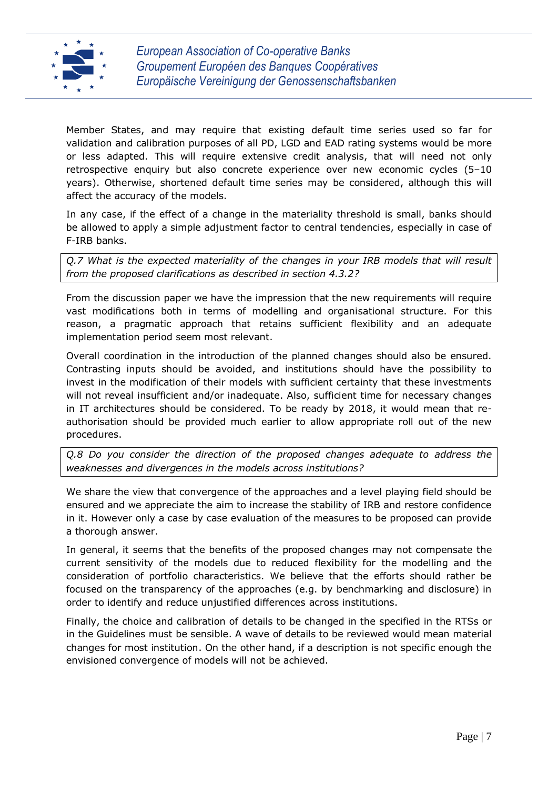

Member States, and may require that existing default time series used so far for validation and calibration purposes of all PD, LGD and EAD rating systems would be more or less adapted. This will require extensive credit analysis, that will need not only retrospective enquiry but also concrete experience over new economic cycles (5–10 years). Otherwise, shortened default time series may be considered, although this will affect the accuracy of the models.

In any case, if the effect of a change in the materiality threshold is small, banks should be allowed to apply a simple adjustment factor to central tendencies, especially in case of F-IRB banks.

*Q.7 What is the expected materiality of the changes in your IRB models that will result from the proposed clarifications as described in section 4.3.2?*

From the discussion paper we have the impression that the new requirements will require vast modifications both in terms of modelling and organisational structure. For this reason, a pragmatic approach that retains sufficient flexibility and an adequate implementation period seem most relevant.

Overall coordination in the introduction of the planned changes should also be ensured. Contrasting inputs should be avoided, and institutions should have the possibility to invest in the modification of their models with sufficient certainty that these investments will not reveal insufficient and/or inadequate. Also, sufficient time for necessary changes in IT architectures should be considered. To be ready by 2018, it would mean that reauthorisation should be provided much earlier to allow appropriate roll out of the new procedures.

*Q.8 Do you consider the direction of the proposed changes adequate to address the weaknesses and divergences in the models across institutions?*

We share the view that convergence of the approaches and a level playing field should be ensured and we appreciate the aim to increase the stability of IRB and restore confidence in it. However only a case by case evaluation of the measures to be proposed can provide a thorough answer.

In general, it seems that the benefits of the proposed changes may not compensate the current sensitivity of the models due to reduced flexibility for the modelling and the consideration of portfolio characteristics. We believe that the efforts should rather be focused on the transparency of the approaches (e.g. by benchmarking and disclosure) in order to identify and reduce unjustified differences across institutions.

Finally, the choice and calibration of details to be changed in the specified in the RTSs or in the Guidelines must be sensible. A wave of details to be reviewed would mean material changes for most institution. On the other hand, if a description is not specific enough the envisioned convergence of models will not be achieved.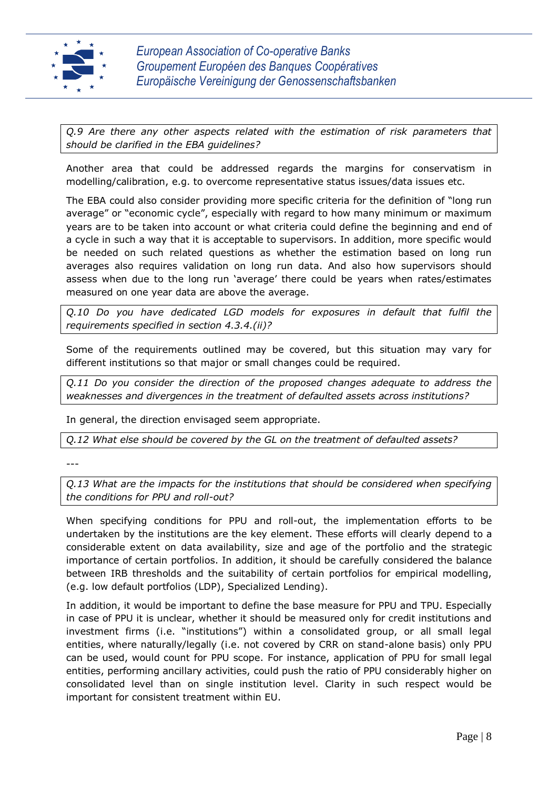

*Q.9 Are there any other aspects related with the estimation of risk parameters that should be clarified in the EBA guidelines?*

Another area that could be addressed regards the margins for conservatism in modelling/calibration, e.g. to overcome representative status issues/data issues etc.

The EBA could also consider providing more specific criteria for the definition of "long run average" or "economic cycle", especially with regard to how many minimum or maximum years are to be taken into account or what criteria could define the beginning and end of a cycle in such a way that it is acceptable to supervisors. In addition, more specific would be needed on such related questions as whether the estimation based on long run averages also requires validation on long run data. And also how supervisors should assess when due to the long run 'average' there could be years when rates/estimates measured on one year data are above the average.

*Q.10 Do you have dedicated LGD models for exposures in default that fulfil the requirements specified in section 4.3.4.(ii)?*

Some of the requirements outlined may be covered, but this situation may vary for different institutions so that major or small changes could be required.

*Q.11 Do you consider the direction of the proposed changes adequate to address the weaknesses and divergences in the treatment of defaulted assets across institutions?*

In general, the direction envisaged seem appropriate.

*Q.12 What else should be covered by the GL on the treatment of defaulted assets?*

---

*Q.13 What are the impacts for the institutions that should be considered when specifying the conditions for PPU and roll-out?*

When specifying conditions for PPU and roll-out, the implementation efforts to be undertaken by the institutions are the key element. These efforts will clearly depend to a considerable extent on data availability, size and age of the portfolio and the strategic importance of certain portfolios. In addition, it should be carefully considered the balance between IRB thresholds and the suitability of certain portfolios for empirical modelling, (e.g. low default portfolios (LDP), Specialized Lending).

In addition, it would be important to define the base measure for PPU and TPU. Especially in case of PPU it is unclear, whether it should be measured only for credit institutions and investment firms (i.e. "institutions") within a consolidated group, or all small legal entities, where naturally/legally (i.e. not covered by CRR on stand-alone basis) only PPU can be used, would count for PPU scope. For instance, application of PPU for small legal entities, performing ancillary activities, could push the ratio of PPU considerably higher on consolidated level than on single institution level. Clarity in such respect would be important for consistent treatment within EU.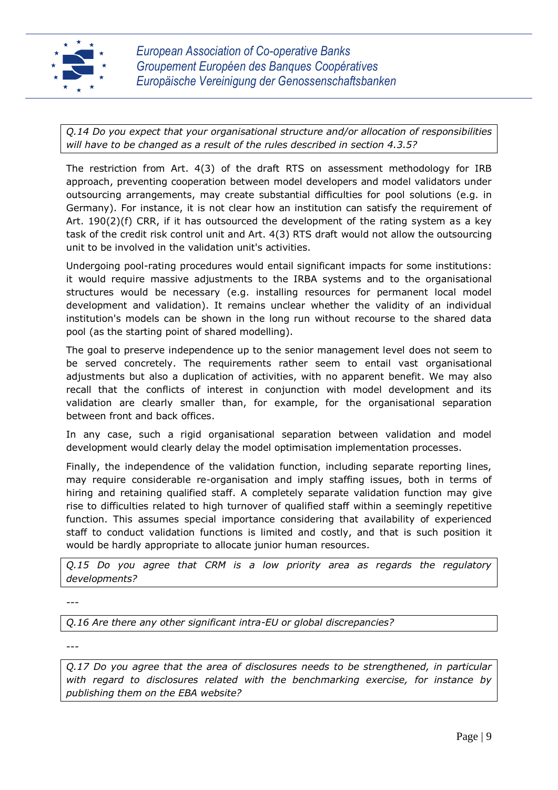

*Q.14 Do you expect that your organisational structure and/or allocation of responsibilities will have to be changed as a result of the rules described in section 4.3.5?*

The restriction from Art. 4(3) of the draft RTS on assessment methodology for IRB approach, preventing cooperation between model developers and model validators under outsourcing arrangements, may create substantial difficulties for pool solutions (e.g. in Germany). For instance, it is not clear how an institution can satisfy the requirement of Art. 190(2)(f) CRR, if it has outsourced the development of the rating system as a key task of the credit risk control unit and Art. 4(3) RTS draft would not allow the outsourcing unit to be involved in the validation unit's activities.

Undergoing pool-rating procedures would entail significant impacts for some institutions: it would require massive adjustments to the IRBA systems and to the organisational structures would be necessary (e.g. installing resources for permanent local model development and validation). It remains unclear whether the validity of an individual institution's models can be shown in the long run without recourse to the shared data pool (as the starting point of shared modelling).

The goal to preserve independence up to the senior management level does not seem to be served concretely. The requirements rather seem to entail vast organisational adjustments but also a duplication of activities, with no apparent benefit. We may also recall that the conflicts of interest in conjunction with model development and its validation are clearly smaller than, for example, for the organisational separation between front and back offices.

In any case, such a rigid organisational separation between validation and model development would clearly delay the model optimisation implementation processes.

Finally, the independence of the validation function, including separate reporting lines, may require considerable re-organisation and imply staffing issues, both in terms of hiring and retaining qualified staff. A completely separate validation function may give rise to difficulties related to high turnover of qualified staff within a seemingly repetitive function. This assumes special importance considering that availability of experienced staff to conduct validation functions is limited and costly, and that is such position it would be hardly appropriate to allocate junior human resources.

*Q.15 Do you agree that CRM is a low priority area as regards the regulatory developments?*

---

*Q.16 Are there any other significant intra-EU or global discrepancies?*

---

*Q.17 Do you agree that the area of disclosures needs to be strengthened, in particular with regard to disclosures related with the benchmarking exercise, for instance by publishing them on the EBA website?*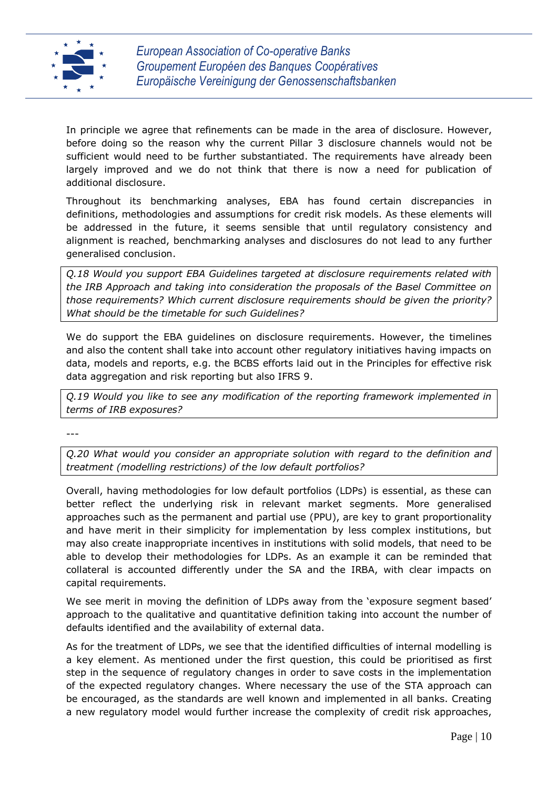

In principle we agree that refinements can be made in the area of disclosure. However, before doing so the reason why the current Pillar 3 disclosure channels would not be sufficient would need to be further substantiated. The requirements have already been largely improved and we do not think that there is now a need for publication of additional disclosure.

Throughout its benchmarking analyses, EBA has found certain discrepancies in definitions, methodologies and assumptions for credit risk models. As these elements will be addressed in the future, it seems sensible that until regulatory consistency and alignment is reached, benchmarking analyses and disclosures do not lead to any further generalised conclusion.

*Q.18 Would you support EBA Guidelines targeted at disclosure requirements related with the IRB Approach and taking into consideration the proposals of the Basel Committee on those requirements? Which current disclosure requirements should be given the priority? What should be the timetable for such Guidelines?*

We do support the EBA guidelines on disclosure requirements. However, the timelines and also the content shall take into account other regulatory initiatives having impacts on data, models and reports, e.g. the BCBS efforts laid out in the Principles for effective risk data aggregation and risk reporting but also IFRS 9.

*Q.19 Would you like to see any modification of the reporting framework implemented in terms of IRB exposures?*

---

*Q.20 What would you consider an appropriate solution with regard to the definition and treatment (modelling restrictions) of the low default portfolios?*

Overall, having methodologies for low default portfolios (LDPs) is essential, as these can better reflect the underlying risk in relevant market segments. More generalised approaches such as the permanent and partial use (PPU), are key to grant proportionality and have merit in their simplicity for implementation by less complex institutions, but may also create inappropriate incentives in institutions with solid models, that need to be able to develop their methodologies for LDPs. As an example it can be reminded that collateral is accounted differently under the SA and the IRBA, with clear impacts on capital requirements.

We see merit in moving the definition of LDPs away from the 'exposure segment based' approach to the qualitative and quantitative definition taking into account the number of defaults identified and the availability of external data.

As for the treatment of LDPs, we see that the identified difficulties of internal modelling is a key element. As mentioned under the first question, this could be prioritised as first step in the sequence of regulatory changes in order to save costs in the implementation of the expected regulatory changes. Where necessary the use of the STA approach can be encouraged, as the standards are well known and implemented in all banks. Creating a new regulatory model would further increase the complexity of credit risk approaches,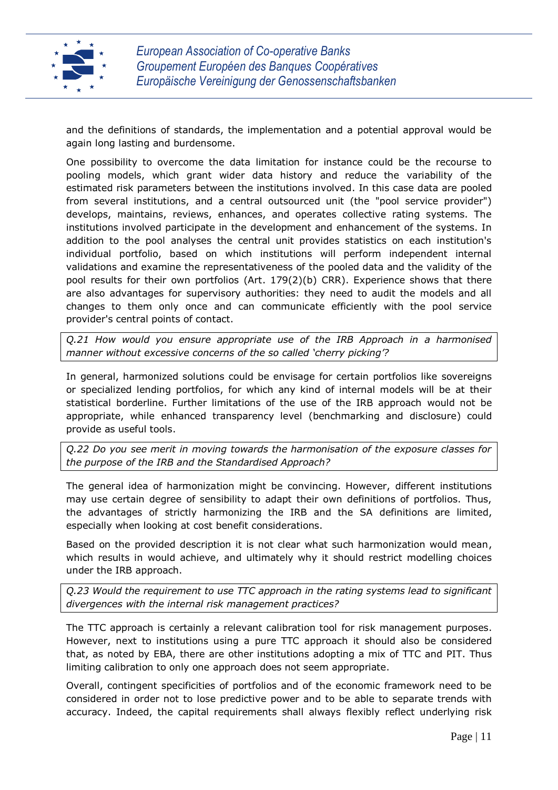

and the definitions of standards, the implementation and a potential approval would be again long lasting and burdensome.

One possibility to overcome the data limitation for instance could be the recourse to pooling models, which grant wider data history and reduce the variability of the estimated risk parameters between the institutions involved. In this case data are pooled from several institutions, and a central outsourced unit (the "pool service provider") develops, maintains, reviews, enhances, and operates collective rating systems. The institutions involved participate in the development and enhancement of the systems. In addition to the pool analyses the central unit provides statistics on each institution's individual portfolio, based on which institutions will perform independent internal validations and examine the representativeness of the pooled data and the validity of the pool results for their own portfolios (Art. 179(2)(b) CRR). Experience shows that there are also advantages for supervisory authorities: they need to audit the models and all changes to them only once and can communicate efficiently with the pool service provider's central points of contact.

*Q.21 How would you ensure appropriate use of the IRB Approach in a harmonised manner without excessive concerns of the so called 'cherry picking'?*

In general, harmonized solutions could be envisage for certain portfolios like sovereigns or specialized lending portfolios, for which any kind of internal models will be at their statistical borderline. Further limitations of the use of the IRB approach would not be appropriate, while enhanced transparency level (benchmarking and disclosure) could provide as useful tools.

*Q.22 Do you see merit in moving towards the harmonisation of the exposure classes for the purpose of the IRB and the Standardised Approach?*

The general idea of harmonization might be convincing. However, different institutions may use certain degree of sensibility to adapt their own definitions of portfolios. Thus, the advantages of strictly harmonizing the IRB and the SA definitions are limited, especially when looking at cost benefit considerations.

Based on the provided description it is not clear what such harmonization would mean, which results in would achieve, and ultimately why it should restrict modelling choices under the IRB approach.

*Q.23 Would the requirement to use TTC approach in the rating systems lead to significant divergences with the internal risk management practices?*

The TTC approach is certainly a relevant calibration tool for risk management purposes. However, next to institutions using a pure TTC approach it should also be considered that, as noted by EBA, there are other institutions adopting a mix of TTC and PIT. Thus limiting calibration to only one approach does not seem appropriate.

Overall, contingent specificities of portfolios and of the economic framework need to be considered in order not to lose predictive power and to be able to separate trends with accuracy. Indeed, the capital requirements shall always flexibly reflect underlying risk